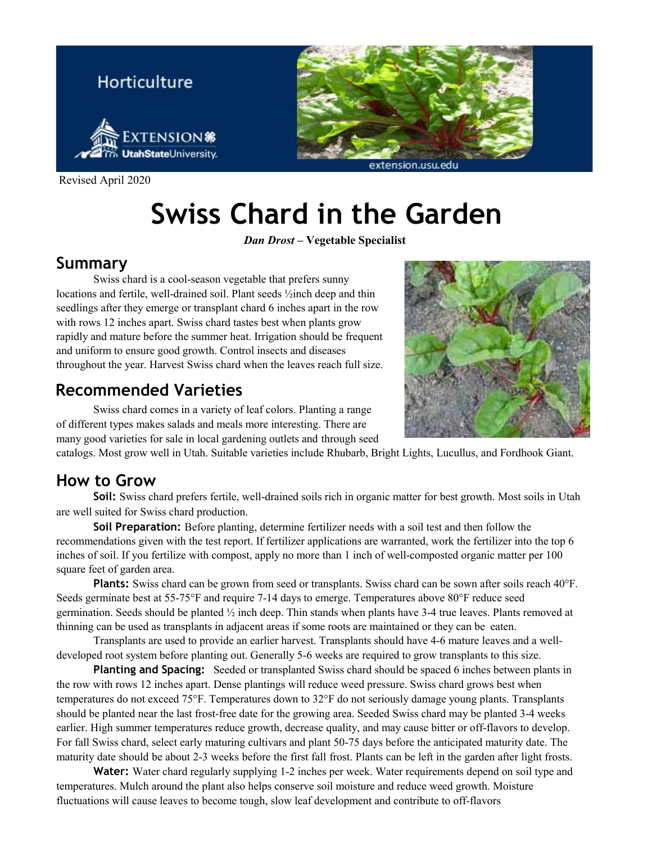

Revised April 2020

# **Swiss Chard in the Garden**

*Dan Drost –* **Vegetable Specialist**

#### **Summary**

Swiss chard is a cool-season vegetable that prefers sunny locations and fertile, well-drained soil. Plant seeds ½inch deep and thin seedlings after they emerge or transplant chard 6 inches apart in the row with rows 12 inches apart. Swiss chard tastes best when plants grow rapidly and mature before the summer heat. Irrigation should be frequent and uniform to ensure good growth. Control insects and diseases throughout the year. Harvest Swiss chard when the leaves reach full size.

### **Recommended Varieties**

Swiss chard comes in a variety of leaf colors. Planting a range of different types makes salads and meals more interesting. There are many good varieties for sale in local gardening outlets and through seed

catalogs. Most grow well in Utah. Suitable varieties include Rhubarb, Bright Lights, Lucullus, and Fordhook Giant.

### **How to Grow**

**Soil:** Swiss chard prefers fertile, well-drained soils rich in organic matter for best growth. Most soils in Utah are well suited for Swiss chard production.

**Soil Preparation:** Before planting, determine fertilizer needs with a soil test and then follow the recommendations given with the test report. If fertilizer applications are warranted, work the fertilizer into the top 6 inches of soil. If you fertilize with compost, apply no more than 1 inch of well-composted organic matter per 100 square feet of garden area.

**Plants:** Swiss chard can be grown from seed or transplants. Swiss chard can be sown after soils reach 40°F. Seeds germinate best at 55-75°F and require 7-14 days to emerge. Temperatures above 80°F reduce seed germination. Seeds should be planted  $\frac{1}{2}$  inch deep. Thin stands when plants have 3-4 true leaves. Plants removed at thinning can be used as transplants in adjacent areas if some roots are maintained or they can be eaten.

Transplants are used to provide an earlier harvest. Transplants should have 4-6 mature leaves and a welldeveloped root system before planting out. Generally 5-6 weeks are required to grow transplants to this size.

**Planting and Spacing:** Seeded or transplanted Swiss chard should be spaced 6 inches between plants in the row with rows 12 inches apart. Dense plantings will reduce weed pressure. Swiss chard grows best when temperatures do not exceed 75°F. Temperatures down to 32°F do not seriously damage young plants. Transplants should be planted near the last frost-free date for the growing area. Seeded Swiss chard may be planted 3-4 weeks earlier. High summer temperatures reduce growth, decrease quality, and may cause bitter or off-flavors to develop. For fall Swiss chard, select early maturing cultivars and plant 50-75 days before the anticipated maturity date. The maturity date should be about 2-3 weeks before the first fall frost. Plants can be left in the garden after light frosts.

**Water:** Water chard regularly supplying 1-2 inches per week. Water requirements depend on soil type and temperatures. Mulch around the plant also helps conserve soil moisture and reduce weed growth. Moisture fluctuations will cause leaves to become tough, slow leaf development and contribute to off-flavors